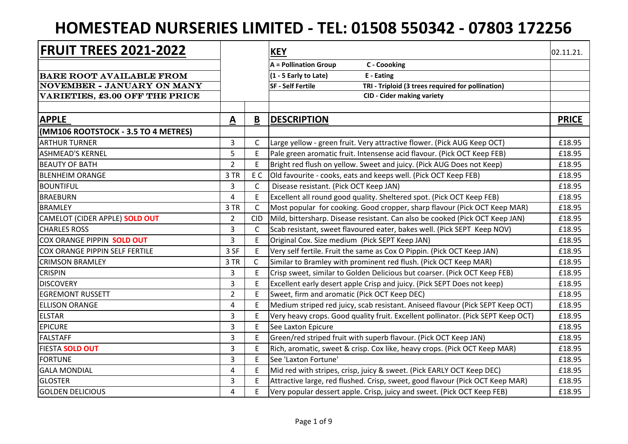## **HOMESTEAD NURSERIES LIMITED - TEL: 01508 550342 - 07803 172256**

| <b>FRUIT TREES 2021-2022</b>          |                          |              | <b>KEY</b>                                                                       | 02.11.21.    |
|---------------------------------------|--------------------------|--------------|----------------------------------------------------------------------------------|--------------|
|                                       |                          |              | C - Coooking<br>$A =$ Pollination Group                                          |              |
| <b>BARE ROOT AVAILABLE FROM</b>       |                          |              | (1 - 5 Early to Late)<br>E - Eating                                              |              |
| NOVEMBER - JANUARY ON MANY            |                          |              | <b>SF - Self Fertile</b><br>TRI - Triploid (3 trees required for pollination)    |              |
| <b>VARIETIES, £3.00 OFF THE PRICE</b> |                          |              | <b>CID - Cider making variety</b>                                                |              |
|                                       |                          |              |                                                                                  |              |
| <b>APPLE</b>                          | $\underline{\mathbf{A}}$ | B            | <b>DESCRIPTION</b>                                                               | <b>PRICE</b> |
| (MM106 ROOTSTOCK - 3.5 TO 4 METRES)   |                          |              |                                                                                  |              |
| <b>ARTHUR TURNER</b>                  | 3                        | C            | Large yellow - green fruit. Very attractive flower. (Pick AUG Keep OCT)          | £18.95       |
| <b>ASHMEAD'S KERNEL</b>               | 5                        | E            | Pale green aromatic fruit. Intensense acid flavour. (Pick OCT Keep FEB)          | £18.95       |
| <b>BEAUTY OF BATH</b>                 | $\overline{2}$           | E            | Bright red flush on yellow. Sweet and juicy. (Pick AUG Does not Keep)            | £18.95       |
| <b>BLENHEIM ORANGE</b>                | 3 TR                     | E C          | Old favourite - cooks, eats and keeps well. (Pick OCT Keep FEB)                  | £18.95       |
| <b>BOUNTIFUL</b>                      | 3                        | $\mathsf{C}$ | Disease resistant. (Pick OCT Keep JAN)                                           | £18.95       |
| <b>BRAEBURN</b>                       | 4                        | E.           | Excellent all round good quality. Sheltered spot. (Pick OCT Keep FEB)            | £18.95       |
| <b>BRAMLEY</b>                        | 3 TR                     | $\mathsf{C}$ | Most popular for cooking. Good cropper, sharp flavour (Pick OCT Keep MAR)        | £18.95       |
| CAMELOT (CIDER APPLE) SOLD OUT        | $\overline{2}$           | <b>CID</b>   | Mild, bittersharp. Disease resistant. Can also be cooked (Pick OCT Keep JAN)     | £18.95       |
| <b>CHARLES ROSS</b>                   | 3                        | $\mathsf{C}$ | Scab resistant, sweet flavoured eater, bakes well. (Pick SEPT Keep NOV)          | £18.95       |
| COX ORANGE PIPPIN SOLD OUT            | 3                        | E            | Original Cox. Size medium (Pick SEPT Keep JAN)                                   | £18.95       |
| COX ORANGE PIPPIN SELF FERTILE        | 3 SF                     | E            | Very self fertile. Fruit the same as Cox O Pippin. (Pick OCT Keep JAN)           | £18.95       |
| <b>CRIMSON BRAMLEY</b>                | 3 TR                     | $\mathsf{C}$ | Similar to Bramley with prominent red flush. (Pick OCT Keep MAR)                 | £18.95       |
| <b>CRISPIN</b>                        | $\overline{3}$           | E            | Crisp sweet, similar to Golden Delicious but coarser. (Pick OCT Keep FEB)        | £18.95       |
| <b>DISCOVERY</b>                      | 3                        | E            | Excellent early desert apple Crisp and juicy. (Pick SEPT Does not keep)          | £18.95       |
| <b>EGREMONT RUSSETT</b>               | $\overline{2}$           | E            | Sweet, firm and aromatic (Pick OCT Keep DEC)                                     | £18.95       |
| <b>ELLISON ORANGE</b>                 | 4                        | E            | Medium striped red juicy, scab resistant. Aniseed flavour (Pick SEPT Keep OCT)   | £18.95       |
| <b>ELSTAR</b>                         | 3                        | E            | Very heavy crops. Good quality fruit. Excellent pollinator. (Pick SEPT Keep OCT) | £18.95       |
| <b>EPICURE</b>                        | 3                        | E            | See Laxton Epicure                                                               | £18.95       |
| <b>FALSTAFF</b>                       | 3                        | E            | Green/red striped fruit with superb flavour. (Pick OCT Keep JAN)                 | £18.95       |
| FIESTA SOLD OUT                       | 3                        | E            | Rich, aromatic, sweet & crisp. Cox like, heavy crops. (Pick OCT Keep MAR)        | £18.95       |
| <b>FORTUNE</b>                        | 3                        | E            | See 'Laxton Fortune'                                                             | £18.95       |
| <b>GALA MONDIAL</b>                   | 4                        | E            | Mid red with stripes, crisp, juicy & sweet. (Pick EARLY OCT Keep DEC)            | £18.95       |
| <b>GLOSTER</b>                        | 3                        | F.           | Attractive large, red flushed. Crisp, sweet, good flavour (Pick OCT Keep MAR)    | £18.95       |
| <b>GOLDEN DELICIOUS</b>               | 4                        | E            | Very popular dessert apple. Crisp, juicy and sweet. (Pick OCT Keep FEB)          | £18.95       |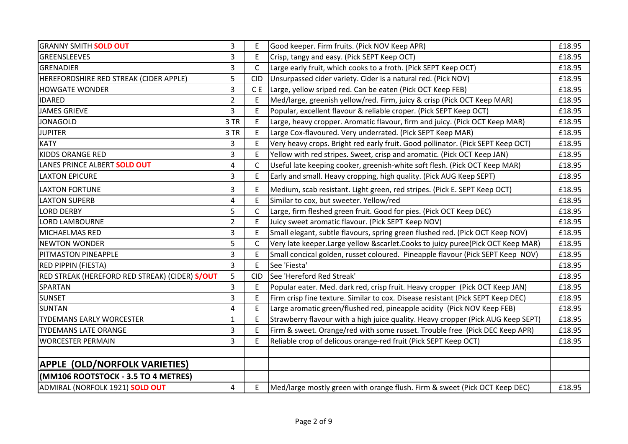| <b>GRANNY SMITH SOLD OUT</b>                   | 3                       | F              | Good keeper. Firm fruits. (Pick NOV Keep APR)                                      | £18.95 |
|------------------------------------------------|-------------------------|----------------|------------------------------------------------------------------------------------|--------|
| <b>GREENSLEEVES</b>                            | 3                       | E              | Crisp, tangy and easy. (Pick SEPT Keep OCT)                                        | £18.95 |
| GRENADIER                                      | 3                       | C              | Large early fruit, which cooks to a froth. (Pick SEPT Keep OCT)                    | £18.95 |
| HEREFORDSHIRE RED STREAK (CIDER APPLE)         | 5                       | <b>CID</b>     | Unsurpassed cider variety. Cider is a natural red. (Pick NOV)                      | £18.95 |
| <b>HOWGATE WONDER</b>                          | 3                       | C <sub>E</sub> | Large, yellow sriped red. Can be eaten (Pick OCT Keep FEB)                         | £18.95 |
| <b>IDARED</b>                                  | $\overline{2}$          | E              | Med/large, greenish yellow/red. Firm, juicy & crisp (Pick OCT Keep MAR)            | £18.95 |
| <b>JAMES GRIEVE</b>                            | 3                       | E              | Popular, excellent flavour & reliable croper. (Pick SEPT Keep OCT)                 | £18.95 |
| <b>JONAGOLD</b>                                | 3 TR                    | E              | Large, heavy cropper. Aromatic flavour, firm and juicy. (Pick OCT Keep MAR)        | £18.95 |
| <b>JUPITER</b>                                 | 3 TR                    | E              | Large Cox-flavoured. Very underrated. (Pick SEPT Keep MAR)                         | £18.95 |
| <b>KATY</b>                                    | 3                       | E              | Very heavy crops. Bright red early fruit. Good pollinator. (Pick SEPT Keep OCT)    | £18.95 |
| <b>KIDDS ORANGE RED</b>                        | 3                       | E              | Yellow with red stripes. Sweet, crisp and aromatic. (Pick OCT Keep JAN)            | £18.95 |
| LANES PRINCE ALBERT SOLD OUT                   | $\overline{\mathbf{4}}$ | $\mathsf{C}$   | Useful late keeping cooker, greenish-white soft flesh. (Pick OCT Keep MAR)         | £18.95 |
| <b>LAXTON EPICURE</b>                          | 3                       | E.             | Early and small. Heavy cropping, high quality. (Pick AUG Keep SEPT)                | £18.95 |
| <b>LAXTON FORTUNE</b>                          | 3                       |                | Medium, scab resistant. Light green, red stripes. (Pick E. SEPT Keep OCT)          | £18.95 |
| <b>LAXTON SUPERB</b>                           | 4                       | E              | Similar to cox, but sweeter. Yellow/red                                            | £18.95 |
| <b>LORD DERBY</b>                              | 5                       | C              | Large, firm fleshed green fruit. Good for pies. (Pick OCT Keep DEC)                | £18.95 |
| <b>LORD LAMBOURNE</b>                          | $\overline{2}$          | E.             | Juicy sweet aromatic flavour. (Pick SEPT Keep NOV)                                 | £18.95 |
| MICHAELMAS RED                                 | 3                       | E              | Small elegant, subtle flavours, spring green flushed red. (Pick OCT Keep NOV)      | £18.95 |
| <b>NEWTON WONDER</b>                           | 5                       | C              | Very late keeper. Large yellow & scarlet. Cooks to juicy puree (Pick OCT Keep MAR) | £18.95 |
| <b>PITMASTON PINEAPPLE</b>                     | 3                       | E              | Small concical golden, russet coloured. Pineapple flavour (Pick SEPT Keep NOV)     | £18.95 |
| <b>RED PIPPIN (FIESTA)</b>                     | 3                       | E              | See 'Fiesta'                                                                       | £18.95 |
| RED STREAK (HEREFORD RED STREAK) (CIDER) S/OUT | 5                       | <b>CID</b>     | See 'Hereford Red Streak'                                                          | £18.95 |
| <b>SPARTAN</b>                                 | 3                       | E              | Popular eater. Med. dark red, crisp fruit. Heavy cropper (Pick OCT Keep JAN)       | £18.95 |
| <b>SUNSET</b>                                  | 3                       | E              | Firm crisp fine texture. Similar to cox. Disease resistant (Pick SEPT Keep DEC)    | £18.95 |
| <b>SUNTAN</b>                                  | 4                       | E              | Large aromatic green/flushed red, pineapple acidity (Pick NOV Keep FEB)            | £18.95 |
| <b>TYDEMANS EARLY WORCESTER</b>                | $\mathbf{1}$            | F              | Strawberry flavour with a high juice quality. Heavy cropper (Pick AUG Keep SEPT)   | £18.95 |
| <b>TYDEMANS LATE ORANGE</b>                    | 3                       | E              | Firm & sweet. Orange/red with some russet. Trouble free (Pick DEC Keep APR)        | £18.95 |
| <b>WORCESTER PERMAIN</b>                       | 3                       | E              | Reliable crop of delicous orange-red fruit (Pick SEPT Keep OCT)                    | £18.95 |
| <b>APPLE (OLD/NORFOLK VARIETIES)</b>           |                         |                |                                                                                    |        |
| (MM106 ROOTSTOCK - 3.5 TO 4 METRES)            |                         |                |                                                                                    |        |
| ADMIRAL (NORFOLK 1921) SOLD OUT                | 4                       | E.             | Med/large mostly green with orange flush. Firm & sweet (Pick OCT Keep DEC)         | £18.95 |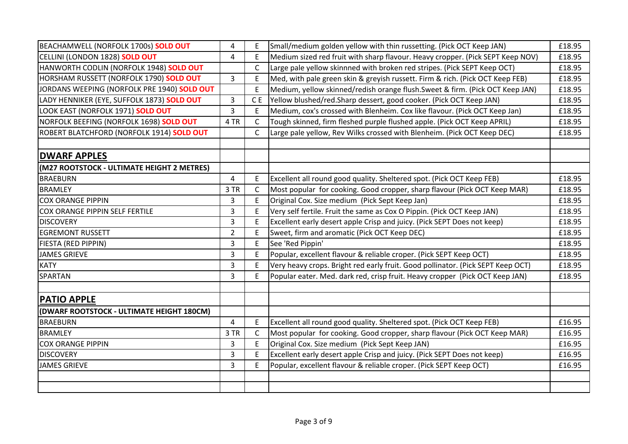| BEACHAMWELL (NORFOLK 1700s) SOLD OUT        | 4              | Ε            | Small/medium golden yellow with thin russetting. (Pick OCT Keep JAN)            | £18.95 |
|---------------------------------------------|----------------|--------------|---------------------------------------------------------------------------------|--------|
| CELLINI (LONDON 1828) SOLD OUT              | 4              | E            | Medium sized red fruit with sharp flavour. Heavy cropper. (Pick SEPT Keep NOV)  | £18.95 |
| HANWORTH CODLIN (NORFOLK 1948) SOLD OUT     |                | C            | Large pale yellow skinnned with broken red stripes. (Pick SEPT Keep OCT)        | £18.95 |
| HORSHAM RUSSETT (NORFOLK 1790) SOLD OUT     | $\overline{3}$ | E            | Med, with pale green skin & greyish russett. Firm & rich. (Pick OCT Keep FEB)   | £18.95 |
| JORDANS WEEPING (NORFOLK PRE 1940) SOLD OUT |                | E            | Medium, yellow skinned/redish orange flush. Sweet & firm. (Pick OCT Keep JAN)   | £18.95 |
| LADY HENNIKER (EYE, SUFFOLK 1873) SOLD OUT  | 3              | C E          | [Yellow blushed/red.Sharp dessert, good cooker. (Pick OCT Keep JAN)             | £18.95 |
| LOOK EAST (NORFOLK 1971) SOLD OUT           | 3              | E            | Medium, cox's crossed with Blenheim. Cox like flavour. (Pick OCT Keep Jan)      | £18.95 |
| NORFOLK BEEFING (NORFOLK 1698) SOLD OUT     | 4 TR           | C            | Tough skinned, firm fleshed purple flushed apple. (Pick OCT Keep APRIL)         | £18.95 |
| ROBERT BLATCHFORD (NORFOLK 1914) SOLD OUT   |                | $\mathsf{C}$ | Large pale yellow, Rev Wilks crossed with Blenheim. (Pick OCT Keep DEC)         | £18.95 |
|                                             |                |              |                                                                                 |        |
| <b>DWARF APPLES</b>                         |                |              |                                                                                 |        |
| (M27 ROOTSTOCK - ULTIMATE HEIGHT 2 METRES)  |                |              |                                                                                 |        |
| <b>BRAEBURN</b>                             | 4              | E.           | Excellent all round good quality. Sheltered spot. (Pick OCT Keep FEB)           | £18.95 |
| <b>BRAMLEY</b>                              | 3 TR           | $\mathsf{C}$ | Most popular for cooking. Good cropper, sharp flavour (Pick OCT Keep MAR)       | £18.95 |
| <b>COX ORANGE PIPPIN</b>                    | 3              | E            | Original Cox. Size medium (Pick Sept Keep Jan)                                  | £18.95 |
| COX ORANGE PIPPIN SELF FERTILE              | 3              | E            | Very self fertile. Fruit the same as Cox O Pippin. (Pick OCT Keep JAN)          | £18.95 |
| <b>DISCOVERY</b>                            | 3              | E            | Excellent early desert apple Crisp and juicy. (Pick SEPT Does not keep)         | £18.95 |
| <b>EGREMONT RUSSETT</b>                     | $\overline{2}$ | E            | Sweet, firm and aromatic (Pick OCT Keep DEC)                                    | £18.95 |
| FIESTA (RED PIPPIN)                         | 3              | E            | See 'Red Pippin'                                                                | £18.95 |
| <b>JAMES GRIEVE</b>                         | 3              | E            | Popular, excellent flavour & reliable croper. (Pick SEPT Keep OCT)              | £18.95 |
| <b>KATY</b>                                 | 3              | E            | Very heavy crops. Bright red early fruit. Good pollinator. (Pick SEPT Keep OCT) | £18.95 |
| SPARTAN                                     | 3              | E            | Popular eater. Med. dark red, crisp fruit. Heavy cropper (Pick OCT Keep JAN)    | £18.95 |
|                                             |                |              |                                                                                 |        |
| <b>PATIO APPLE</b>                          |                |              |                                                                                 |        |
| (DWARF ROOTSTOCK - ULTIMATE HEIGHT 180CM)   |                |              |                                                                                 |        |
| <b>BRAEBURN</b>                             | 4              | E            | Excellent all round good quality. Sheltered spot. (Pick OCT Keep FEB)           | £16.95 |
| <b>BRAMLEY</b>                              | 3 TR           | C            | Most popular for cooking. Good cropper, sharp flavour (Pick OCT Keep MAR)       | £16.95 |
| <b>COX ORANGE PIPPIN</b>                    | 3              | E            | Original Cox. Size medium (Pick Sept Keep JAN)                                  | £16.95 |
| <b>DISCOVERY</b>                            | 3              | E            | Excellent early desert apple Crisp and juicy. (Pick SEPT Does not keep)         | £16.95 |
| <b>JAMES GRIEVE</b>                         | 3              | E            | Popular, excellent flavour & reliable croper. (Pick SEPT Keep OCT)              | £16.95 |
|                                             |                |              |                                                                                 |        |
|                                             |                |              |                                                                                 |        |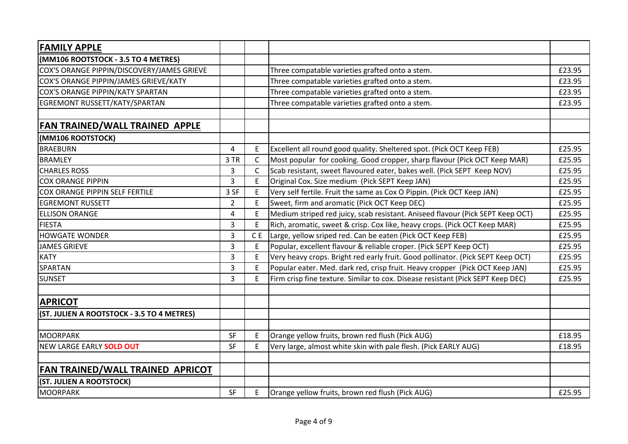| <b>FAMILY APPLE</b>                        |                |                |                                                                                 |        |
|--------------------------------------------|----------------|----------------|---------------------------------------------------------------------------------|--------|
| (MM106 ROOTSTOCK - 3.5 TO 4 METRES)        |                |                |                                                                                 |        |
| COX'S ORANGE PIPPIN/DISCOVERY/JAMES GRIEVE |                |                | Three compatable varieties grafted onto a stem.                                 | £23.95 |
| COX'S ORANGE PIPPIN/JAMES GRIEVE/KATY      |                |                | Three compatable varieties grafted onto a stem.                                 | £23.95 |
| COX'S ORANGE PIPPIN/KATY SPARTAN           |                |                | Three compatable varieties grafted onto a stem.                                 | £23.95 |
| EGREMONT RUSSETT/KATY/SPARTAN              |                |                | Three compatable varieties grafted onto a stem.                                 | £23.95 |
| <b>FAN TRAINED/WALL TRAINED APPLE</b>      |                |                |                                                                                 |        |
| (MM106 ROOTSTOCK)                          |                |                |                                                                                 |        |
| <b>BRAEBURN</b>                            | 4              | E              | Excellent all round good quality. Sheltered spot. (Pick OCT Keep FEB)           | £25.95 |
| <b>BRAMLEY</b>                             | 3 TR           | C              | Most popular for cooking. Good cropper, sharp flavour (Pick OCT Keep MAR)       | £25.95 |
| <b>CHARLES ROSS</b>                        | 3              | C              | Scab resistant, sweet flavoured eater, bakes well. (Pick SEPT Keep NOV)         | £25.95 |
| <b>COX ORANGE PIPPIN</b>                   | 3              | E              | Original Cox. Size medium (Pick SEPT Keep JAN)                                  | £25.95 |
| <b>COX ORANGE PIPPIN SELF FERTILE</b>      | 3 SF           | E              | Very self fertile. Fruit the same as Cox O Pippin. (Pick OCT Keep JAN)          | £25.95 |
| <b>EGREMONT RUSSETT</b>                    | $\overline{2}$ | E              | Sweet, firm and aromatic (Pick OCT Keep DEC)                                    | £25.95 |
| <b>ELLISON ORANGE</b>                      | 4              | E              | Medium striped red juicy, scab resistant. Aniseed flavour (Pick SEPT Keep OCT)  | £25.95 |
| <b>FIESTA</b>                              | 3              | E              | Rich, aromatic, sweet & crisp. Cox like, heavy crops. (Pick OCT Keep MAR)       | £25.95 |
| <b>HOWGATE WONDER</b>                      | 3              | C <sub>E</sub> | Large, yellow sriped red. Can be eaten (Pick OCT Keep FEB)                      | £25.95 |
| <b>JAMES GRIEVE</b>                        | 3              | E              | Popular, excellent flavour & reliable croper. (Pick SEPT Keep OCT)              | £25.95 |
| <b>KATY</b>                                | 3              | E              | Very heavy crops. Bright red early fruit. Good pollinator. (Pick SEPT Keep OCT) | £25.95 |
| SPARTAN                                    | 3              | $\mathsf E$    | Popular eater. Med. dark red, crisp fruit. Heavy cropper (Pick OCT Keep JAN)    | £25.95 |
| <b>SUNSET</b>                              | 3              | E              | Firm crisp fine texture. Similar to cox. Disease resistant (Pick SEPT Keep DEC) | £25.95 |
| <b>APRICOT</b>                             |                |                |                                                                                 |        |
| (ST. JULIEN A ROOTSTOCK - 3.5 TO 4 METRES) |                |                |                                                                                 |        |
| MOORPARK                                   | SF             | E              | Orange yellow fruits, brown red flush (Pick AUG)                                | £18.95 |
| NEW LARGE EARLY SOLD OUT                   | SF             | E              | Very large, almost white skin with pale flesh. (Pick EARLY AUG)                 | £18.95 |
| FAN TRAINED/WALL TRAINED APRICOT           |                |                |                                                                                 |        |
| (ST. JULIEN A ROOTSTOCK)                   |                |                |                                                                                 |        |
| MOORPARK                                   | SF             | E              | Orange yellow fruits, brown red flush (Pick AUG)                                | £25.95 |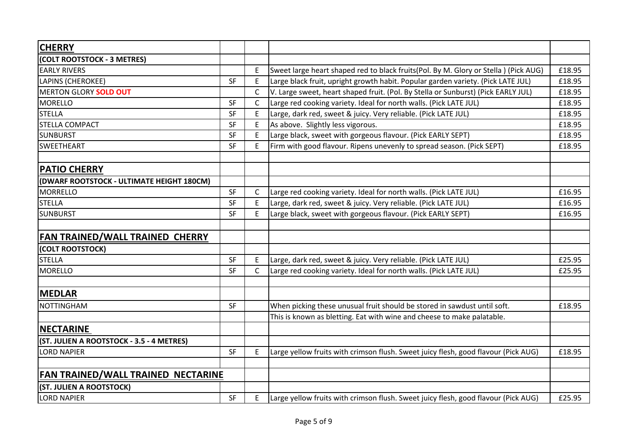| <b>CHERRY</b>                                                |           |              |                                                                                                                                     |        |
|--------------------------------------------------------------|-----------|--------------|-------------------------------------------------------------------------------------------------------------------------------------|--------|
| (COLT ROOTSTOCK - 3 METRES)                                  |           |              |                                                                                                                                     |        |
| <b>EARLY RIVERS</b>                                          |           | E            | Sweet large heart shaped red to black fruits(Pol. By M. Glory or Stella) (Pick AUG)                                                 | £18.95 |
| LAPINS (CHEROKEE)                                            | SF        | E            | Large black fruit, upright growth habit. Popular garden variety. (Pick LATE JUL)                                                    | £18.95 |
| <b>MERTON GLORY SOLD OUT</b>                                 |           | $\mathsf{C}$ | V. Large sweet, heart shaped fruit. (Pol. By Stella or Sunburst) (Pick EARLY JUL)                                                   | £18.95 |
| <b>MORELLO</b>                                               | SF        | $\mathsf{C}$ | Large red cooking variety. Ideal for north walls. (Pick LATE JUL)                                                                   | £18.95 |
| <b>STELLA</b>                                                | SF        | E.           | Large, dark red, sweet & juicy. Very reliable. (Pick LATE JUL)                                                                      | £18.95 |
| STELLA COMPACT                                               | <b>SF</b> | E.           | As above. Slightly less vigorous.                                                                                                   | £18.95 |
| <b>SUNBURST</b>                                              | SF        | E            | Large black, sweet with gorgeous flavour. (Pick EARLY SEPT)                                                                         | £18.95 |
| <b>SWEETHEART</b>                                            | SF        | E            | Firm with good flavour. Ripens unevenly to spread season. (Pick SEPT)                                                               | £18.95 |
| <b>PATIO CHERRY</b>                                          |           |              |                                                                                                                                     |        |
|                                                              |           |              |                                                                                                                                     |        |
| (DWARF ROOTSTOCK - ULTIMATE HEIGHT 180CM)<br><b>MORRELLO</b> | SF        | C.           |                                                                                                                                     | £16.95 |
| <b>STELLA</b>                                                | SF        | E.           | Large red cooking variety. Ideal for north walls. (Pick LATE JUL)<br>Large, dark red, sweet & juicy. Very reliable. (Pick LATE JUL) | £16.95 |
| <b>SUNBURST</b>                                              | <b>SF</b> | E.           | Large black, sweet with gorgeous flavour. (Pick EARLY SEPT)                                                                         | £16.95 |
|                                                              |           |              |                                                                                                                                     |        |
| FAN TRAINED/WALL TRAINED CHERRY                              |           |              |                                                                                                                                     |        |
| (COLT ROOTSTOCK)                                             |           |              |                                                                                                                                     |        |
| <b>STELLA</b>                                                | <b>SF</b> | E.           | Large, dark red, sweet & juicy. Very reliable. (Pick LATE JUL)                                                                      | £25.95 |
| <b>MORELLO</b>                                               | <b>SF</b> | $\mathsf{C}$ | Large red cooking variety. Ideal for north walls. (Pick LATE JUL)                                                                   | £25.95 |
| <b>MEDLAR</b>                                                |           |              |                                                                                                                                     |        |
|                                                              |           |              |                                                                                                                                     |        |
| <b>NOTTINGHAM</b>                                            | SF        |              | When picking these unusual fruit should be stored in sawdust until soft.                                                            | £18.95 |
|                                                              |           |              | This is known as bletting. Eat with wine and cheese to make palatable.                                                              |        |
| <b>NECTARINE</b>                                             |           |              |                                                                                                                                     |        |
| (ST. JULIEN A ROOTSTOCK - 3.5 - 4 METRES)                    |           |              |                                                                                                                                     |        |
| LORD NAPIER                                                  | SF        | E            | Large yellow fruits with crimson flush. Sweet juicy flesh, good flavour (Pick AUG)                                                  | £18.95 |
| FAN TRAINED/WALL TRAINED NECTARINE                           |           |              |                                                                                                                                     |        |
| (ST. JULIEN A ROOTSTOCK)                                     |           |              |                                                                                                                                     |        |
| <b>LORD NAPIER</b>                                           | SF        | E.           | Large yellow fruits with crimson flush. Sweet juicy flesh, good flavour (Pick AUG)                                                  | £25.95 |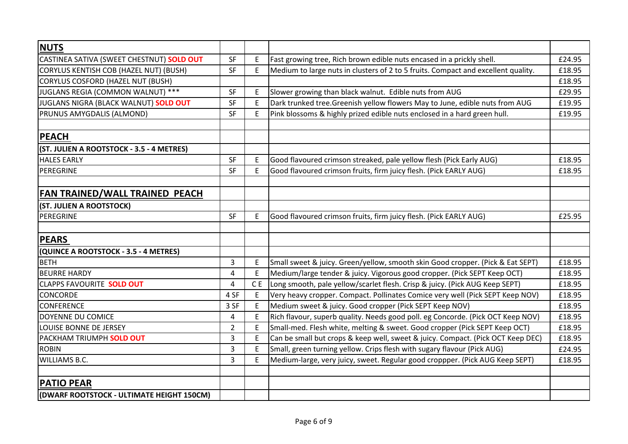| <b>NUTS</b>                               |                |     |                                                                                   |        |
|-------------------------------------------|----------------|-----|-----------------------------------------------------------------------------------|--------|
| CASTINEA SATIVA (SWEET CHESTNUT) SOLD OUT | <b>SF</b>      | E   | Fast growing tree, Rich brown edible nuts encased in a prickly shell.             | £24.95 |
| CORYLUS KENTISH COB (HAZEL NUT) (BUSH)    | SF             | E   | Medium to large nuts in clusters of 2 to 5 fruits. Compact and excellent quality. | £18.95 |
| <b>CORYLUS COSFORD (HAZEL NUT (BUSH)</b>  |                |     |                                                                                   | £18.95 |
| JUGLANS REGIA (COMMON WALNUT) ***         | <b>SF</b>      | E   | Slower growing than black walnut. Edible nuts from AUG                            | £29.95 |
| JUGLANS NIGRA (BLACK WALNUT) SOLD OUT     | SF             | E   | Dark trunked tree. Greenish yellow flowers May to June, edible nuts from AUG      | £19.95 |
| PRUNUS AMYGDALIS (ALMOND)                 | <b>SF</b>      | E   | Pink blossoms & highly prized edible nuts enclosed in a hard green hull.          | £19.95 |
| <b>PEACH</b>                              |                |     |                                                                                   |        |
| (ST. JULIEN A ROOTSTOCK - 3.5 - 4 METRES) |                |     |                                                                                   |        |
| <b>HALES EARLY</b>                        | <b>SF</b>      | E   | Good flavoured crimson streaked, pale yellow flesh (Pick Early AUG)               | £18.95 |
| PEREGRINE                                 | <b>SF</b>      | E   | Good flavoured crimson fruits, firm juicy flesh. (Pick EARLY AUG)                 | £18.95 |
| <b>FAN TRAINED/WALL TRAINED PEACH</b>     |                |     |                                                                                   |        |
| (ST. JULIEN A ROOTSTOCK)                  |                |     |                                                                                   |        |
| PEREGRINE                                 | SF             | E   | Good flavoured crimson fruits, firm juicy flesh. (Pick EARLY AUG)                 | £25.95 |
| <b>PEARS</b>                              |                |     |                                                                                   |        |
| (QUINCE A ROOTSTOCK - 3.5 - 4 METRES)     |                |     |                                                                                   |        |
| <b>BETH</b>                               | 3              | Ε   | Small sweet & juicy. Green/yellow, smooth skin Good cropper. (Pick & Eat SEPT)    | £18.95 |
| <b>BEURRE HARDY</b>                       | 4              | E   | Medium/large tender & juicy. Vigorous good cropper. (Pick SEPT Keep OCT)          | £18.95 |
| CLAPPS FAVOURITE SOLD OUT                 | 4              | C E | Long smooth, pale yellow/scarlet flesh. Crisp & juicy. (Pick AUG Keep SEPT)       | £18.95 |
| <b>CONCORDE</b>                           | 4 SF           | E   | Very heavy cropper. Compact. Pollinates Comice very well (Pick SEPT Keep NOV)     | £18.95 |
| <b>CONFERENCE</b>                         | 3 SF           | E   | Medium sweet & juicy. Good cropper (Pick SEPT Keep NOV)                           | £18.95 |
| DOYENNE DU COMICE                         | 4              | E   | Rich flavour, superb quality. Needs good poll. eg Concorde. (Pick OCT Keep NOV)   | £18.95 |
| LOUISE BONNE DE JERSEY                    | $\overline{2}$ | E   | Small-med. Flesh white, melting & sweet. Good cropper (Pick SEPT Keep OCT)        | £18.95 |
| PACKHAM TRIUMPH SOLD OUT                  | 3              | E   | Can be small but crops & keep well, sweet & juicy. Compact. (Pick OCT Keep DEC)   | £18.95 |
| <b>ROBIN</b>                              | 3              | E   | Small, green turning yellow. Crips flesh with sugary flavour (Pick AUG)           | £24.95 |
| <b>WILLIAMS B.C.</b>                      | 3              | E   | Medium-large, very juicy, sweet. Regular good croppper. (Pick AUG Keep SEPT)      | £18.95 |
| <b>PATIO PEAR</b>                         |                |     |                                                                                   |        |
| (DWARF ROOTSTOCK - ULTIMATE HEIGHT 150CM) |                |     |                                                                                   |        |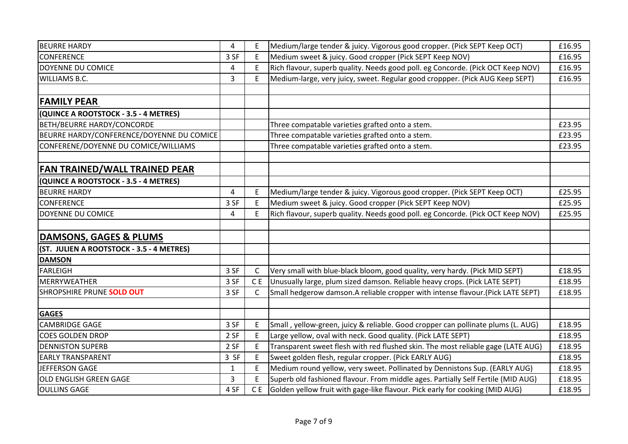| <b>BEURRE HARDY</b>                       | 4    |     | Medium/large tender & juicy. Vigorous good cropper. (Pick SEPT Keep OCT)         | £16.95 |
|-------------------------------------------|------|-----|----------------------------------------------------------------------------------|--------|
| <b>CONFERENCE</b>                         | 3 SF | E   | Medium sweet & juicy. Good cropper (Pick SEPT Keep NOV)                          | £16.95 |
| <b>DOYENNE DU COMICE</b>                  | 4    | E   | Rich flavour, superb quality. Needs good poll. eg Concorde. (Pick OCT Keep NOV)  | £16.95 |
| WILLIAMS B.C.                             | 3    | E   | Medium-large, very juicy, sweet. Regular good croppper. (Pick AUG Keep SEPT)     | £16.95 |
|                                           |      |     |                                                                                  |        |
| <b>FAMILY PEAR</b>                        |      |     |                                                                                  |        |
| (QUINCE A ROOTSTOCK - 3.5 - 4 METRES)     |      |     |                                                                                  |        |
| BETH/BEURRE HARDY/CONCORDE                |      |     | Three compatable varieties grafted onto a stem.                                  | £23.95 |
| BEURRE HARDY/CONFERENCE/DOYENNE DU COMICE |      |     | Three compatable varieties grafted onto a stem.                                  | £23.95 |
| CONFERENE/DOYENNE DU COMICE/WILLIAMS      |      |     | Three compatable varieties grafted onto a stem.                                  | £23.95 |
|                                           |      |     |                                                                                  |        |
| <b>FAN TRAINED/WALL TRAINED PEAR</b>      |      |     |                                                                                  |        |
| (QUINCE A ROOTSTOCK - 3.5 - 4 METRES)     |      |     |                                                                                  |        |
| <b>BEURRE HARDY</b>                       | 4    | E   | Medium/large tender & juicy. Vigorous good cropper. (Pick SEPT Keep OCT)         | £25.95 |
| <b>CONFERENCE</b>                         | 3 SF | E   | Medium sweet & juicy. Good cropper (Pick SEPT Keep NOV)                          | £25.95 |
| DOYENNE DU COMICE                         | 4    | E.  | Rich flavour, superb quality. Needs good poll. eg Concorde. (Pick OCT Keep NOV)  | £25.95 |
|                                           |      |     |                                                                                  |        |
| DAMSONS, GAGES & PLUMS                    |      |     |                                                                                  |        |
| (ST. JULIEN A ROOTSTOCK - 3.5 - 4 METRES) |      |     |                                                                                  |        |
| <b>DAMSON</b>                             |      |     |                                                                                  |        |
| <b>FARLEIGH</b>                           | 3 SF | C   | Very small with blue-black bloom, good quality, very hardy. (Pick MID SEPT)      | £18.95 |
| MERRYWEATHER                              | 3 SF | C E | Unusually large, plum sized damson. Reliable heavy crops. (Pick LATE SEPT)       | £18.95 |
| SHROPSHIRE PRUNE SOLD OUT                 | 3 SF | C   | Small hedgerow damson.A reliable cropper with intense flavour.(Pick LATE SEPT)   | £18.95 |
|                                           |      |     |                                                                                  |        |
| <b>GAGES</b>                              |      |     |                                                                                  |        |
| CAMBRIDGE GAGE                            | 3 SF | E   | Small, yellow-green, juicy & reliable. Good cropper can pollinate plums (L. AUG) | £18.95 |
| <b>COES GOLDEN DROP</b>                   | 2 SF | E   | Large yellow, oval with neck. Good quality. (Pick LATE SEPT)                     | £18.95 |
| <b>DENNISTON SUPERB</b>                   | 2 SF | E   | Transparent sweet flesh with red flushed skin. The most reliable gage (LATE AUG) | £18.95 |
| <b>EARLY TRANSPARENT</b>                  | 3 SF | E   | Sweet golden flesh, regular cropper. (Pick EARLY AUG)                            | £18.95 |
| JEFFERSON GAGE                            | 1    | E   | Medium round yellow, very sweet. Pollinated by Dennistons Sup. (EARLY AUG)       | £18.95 |
| OLD ENGLISH GREEN GAGE                    | 3    | F   | Superb old fashioned flavour. From middle ages. Partially Self Fertile (MID AUG) | £18.95 |
| <b>OULLINS GAGE</b>                       | 4 SF |     | CE Golden yellow fruit with gage-like flavour. Pick early for cooking (MID AUG)  | £18.95 |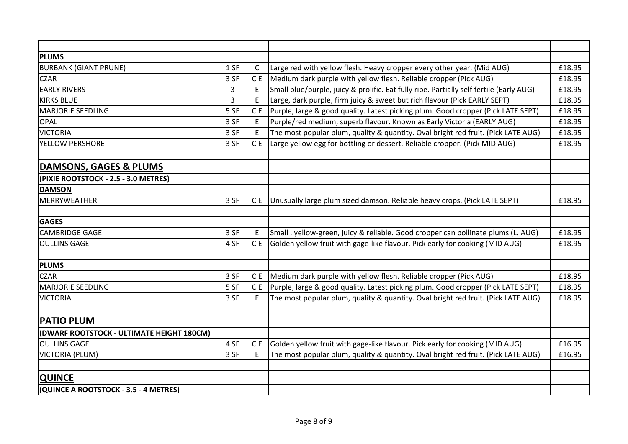| <b>PLUMS</b>                              |              |                |                                                                                         |        |
|-------------------------------------------|--------------|----------------|-----------------------------------------------------------------------------------------|--------|
| <b>BURBANK (GIANT PRUNE)</b>              | 1 SF         | C              | Large red with yellow flesh. Heavy cropper every other year. (Mid AUG)                  | £18.95 |
| <b>CZAR</b>                               | 3 SF         | C E            | Medium dark purple with yellow flesh. Reliable cropper (Pick AUG)                       | £18.95 |
| <b>EARLY RIVERS</b>                       | $\mathbf{3}$ | E              | Small blue/purple, juicy & prolific. Eat fully ripe. Partially self fertile (Early AUG) | £18.95 |
| <b>KIRKS BLUE</b>                         | 3            | E              | Large, dark purple, firm juicy & sweet but rich flavour (Pick EARLY SEPT)               | £18.95 |
| <b>MARJORIE SEEDLING</b>                  | 5 SF         | C <sub>E</sub> | Purple, large & good quality. Latest picking plum. Good cropper (Pick LATE SEPT)        | £18.95 |
| <b>OPAL</b>                               | 3 SF         | E              | Purple/red medium, superb flavour. Known as Early Victoria (EARLY AUG)                  | £18.95 |
| <b>VICTORIA</b>                           | 3 SF         | E              | The most popular plum, quality & quantity. Oval bright red fruit. (Pick LATE AUG)       | £18.95 |
| YELLOW PERSHORE                           | 3 SF         | C E            | Large yellow egg for bottling or dessert. Reliable cropper. (Pick MID AUG)              | £18.95 |
|                                           |              |                |                                                                                         |        |
| DAMSONS, GAGES & PLUMS                    |              |                |                                                                                         |        |
| (PIXIE ROOTSTOCK - 2.5 - 3.0 METRES)      |              |                |                                                                                         |        |
| <b>DAMSON</b>                             |              |                |                                                                                         |        |
| <b>MERRYWEATHER</b>                       | 3 SF         | C <sub>E</sub> | Unusually large plum sized damson. Reliable heavy crops. (Pick LATE SEPT)               | £18.95 |
|                                           |              |                |                                                                                         |        |
| <b>GAGES</b>                              |              |                |                                                                                         |        |
| <b>CAMBRIDGE GAGE</b>                     | 3 SF         | E              | Small, yellow-green, juicy & reliable. Good cropper can pollinate plums (L. AUG)        | £18.95 |
| <b>OULLINS GAGE</b>                       | 4 SF         | C <sub>E</sub> | Golden yellow fruit with gage-like flavour. Pick early for cooking (MID AUG)            | £18.95 |
|                                           |              |                |                                                                                         |        |
| <b>PLUMS</b>                              |              |                |                                                                                         |        |
| <b>CZAR</b>                               | 3 SF         | C <sub>E</sub> | Medium dark purple with yellow flesh. Reliable cropper (Pick AUG)                       | £18.95 |
| <b>MARJORIE SEEDLING</b>                  | 5 SF         | C <sub>E</sub> | Purple, large & good quality. Latest picking plum. Good cropper (Pick LATE SEPT)        | £18.95 |
| <b>VICTORIA</b>                           | 3 SF         | E              | The most popular plum, quality & quantity. Oval bright red fruit. (Pick LATE AUG)       | £18.95 |
| <b>PATIO PLUM</b>                         |              |                |                                                                                         |        |
| (DWARF ROOTSTOCK - ULTIMATE HEIGHT 180CM) |              |                |                                                                                         |        |
| <b>OULLINS GAGE</b>                       | 4 SF         | C E            | Golden yellow fruit with gage-like flavour. Pick early for cooking (MID AUG)            | £16.95 |
| <b>VICTORIA (PLUM)</b>                    | 3 SF         | Ε              | The most popular plum, quality & quantity. Oval bright red fruit. (Pick LATE AUG)       | £16.95 |
|                                           |              |                |                                                                                         |        |
| <b>QUINCE</b>                             |              |                |                                                                                         |        |
| (QUINCE A ROOTSTOCK - 3.5 - 4 METRES)     |              |                |                                                                                         |        |